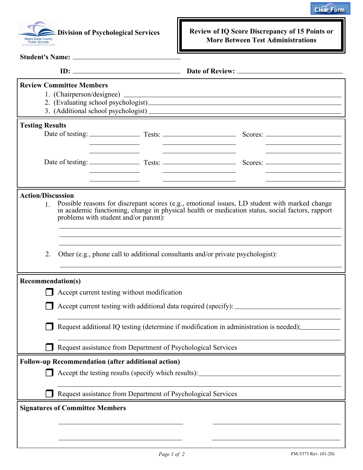



**Student's Name:**

**Division of Psychological Services Review of IQ Score Discrepancy of 15 Points or More Between Test Administrations**

| <b>Review Committee Members</b>                                                                                                                                                                                                                                             |                                                                                        |  |  |
|-----------------------------------------------------------------------------------------------------------------------------------------------------------------------------------------------------------------------------------------------------------------------------|----------------------------------------------------------------------------------------|--|--|
| <b>Testing Results</b>                                                                                                                                                                                                                                                      |                                                                                        |  |  |
|                                                                                                                                                                                                                                                                             |                                                                                        |  |  |
| <b>Action/Discussion</b><br>Possible reasons for discrepant scores (e.g., emotional issues, LD student with marked change<br>1<br>in academic functioning, change in physical health or medication status, social factors, rapport<br>problems with student and/or parent): |                                                                                        |  |  |
| 2.                                                                                                                                                                                                                                                                          | Other (e.g., phone call to additional consultants and/or private psychologist):        |  |  |
| <b>Recommendation(s)</b>                                                                                                                                                                                                                                                    |                                                                                        |  |  |
|                                                                                                                                                                                                                                                                             | Accept current testing without modification                                            |  |  |
|                                                                                                                                                                                                                                                                             |                                                                                        |  |  |
|                                                                                                                                                                                                                                                                             | Request additional IQ testing (determine if modification in administration is needed): |  |  |
| Request assistance from Department of Psychological Services                                                                                                                                                                                                                |                                                                                        |  |  |
| <b>Follow-up Recommendation (after additional action)</b>                                                                                                                                                                                                                   |                                                                                        |  |  |
|                                                                                                                                                                                                                                                                             | Accept the testing results (specify which results): _____________________________      |  |  |
|                                                                                                                                                                                                                                                                             | Request assistance from Department of Psychological Services                           |  |  |
| <b>Signatures of Committee Members</b>                                                                                                                                                                                                                                      |                                                                                        |  |  |
|                                                                                                                                                                                                                                                                             |                                                                                        |  |  |
|                                                                                                                                                                                                                                                                             |                                                                                        |  |  |